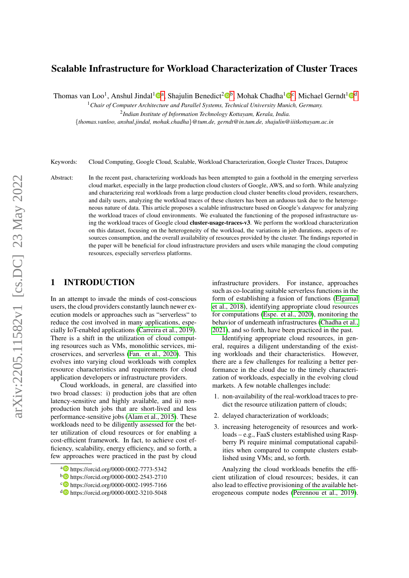# Scalable Infrastructure for Workload Characterization of Cluster Traces

Thomas van Loo<sup>1</sup>, Anshul Jindal<sup>1</sup>®<sup>a</sup>, Shajulin Benedict<sup>2</sup>®<sup>b</sup>, Mohak Chadha<sup>1</sup>®<sup>c</sup>, Michael Gerndt<sup>1</sup>®<sup>d</sup>

<sup>1</sup>*Chair of Computer Architecture and Parallel Systems, Technical University Munich, Germany.*

2 *Indian Institute of Information Technology Kottayam, Kerala, India.*

{*thomas.vanloo, anshul.jindal, mohak.chadha*}*@tum.de, gerndt@in.tum.de, shajulin@iiitkottayam.ac.in*

Keywords: Cloud Computing, Google Cloud, Scalable, Workload Characterization, Google Cluster Traces, Dataproc

Abstract: In the recent past, characterizing workloads has been attempted to gain a foothold in the emerging serverless cloud market, especially in the large production cloud clusters of Google, AWS, and so forth. While analyzing and characterizing real workloads from a large production cloud cluster benefits cloud providers, researchers, and daily users, analyzing the workload traces of these clusters has been an arduous task due to the heterogeneous nature of data. This article proposes a scalable infrastructure based on Google's *dataproc* for analyzing the workload traces of cloud environments. We evaluated the functioning of the proposed infrastructure using the workload traces of Google cloud **cluster-usage-traces-v3**. We perform the workload characterization on this dataset, focusing on the heterogeneity of the workload, the variations in job durations, aspects of resources consumption, and the overall availability of resources provided by the cluster. The findings reported in the paper will be beneficial for cloud infrastructure providers and users while managing the cloud computing resources, especially serverless platforms.

# 1 INTRODUCTION

In an attempt to invade the minds of cost-conscious users, the cloud providers constantly launch newer execution models or approaches such as "serverless" to reduce the cost involved in many applications, especially IoT-enabled applications [\(Carreira et al., 2019\)](#page-8-0). There is a shift in the utilization of cloud computing resources such as VMs, monolithic services, microservices, and serverless [\(Fan. et al., 2020\)](#page-8-1). This evolves into varying cloud workloads with complex resource characteristics and requirements for cloud application developers or infrastructure providers.

Cloud workloads, in general, are classified into two broad classes: i) production jobs that are often latency-sensitive and highly available, and ii) nonproduction batch jobs that are short-lived and less performance-sensitive jobs [\(Alam et al., 2015\)](#page-8-2). These workloads need to be diligently assessed for the better utilization of cloud resources or for enabling a cost-efficient framework. In fact, to achieve cost efficiency, scalability, energy efficiency, and so forth, a few approaches were practiced in the past by cloud infrastructure providers. For instance, approaches such as co-locating suitable serverless functions in the form of establishing a fusion of functions [\(Elgamal](#page-8-3) [et al., 2018\)](#page-8-3), identifying appropriate cloud resources for computations [\(Espe. et al., 2020\)](#page-8-4), monitoring the behavior of underneath infrastructures [\(Chadha et al.,](#page-8-5) [2021\)](#page-8-5), and so forth, have been practiced in the past.

Identifying appropriate cloud resources, in general, requires a diligent understanding of the existing workloads and their characteristics. However, there are a few challenges for realizing a better performance in the cloud due to the timely characterization of workloads, especially in the evolving cloud markets. A few notable challenges include:

- 1. non-availability of the real-workload traces to predict the resource utilization pattern of clouds;
- 2. delayed characterization of workloads;
- 3. increasing heterogeneity of resources and workloads – e.g., FaaS clusters established using Raspberry Pi require minimal computational capabilities when compared to compute clusters established using VMs; and, so forth.

Analyzing the cloud workloads benefits the efficient utilization of cloud resources; besides, it can also lead to effective provisioning of the available heterogeneous compute nodes [\(Perennou et al., 2019\)](#page-8-6).

a https://orcid.org/0000-0002-7773-5342

<sup>b</sup> https://orcid.org/0000-0002-2543-2710

c https://orcid.org/0000-0002-1995-7166

<sup>d</sup> https://orcid.org/0000-0002-3210-5048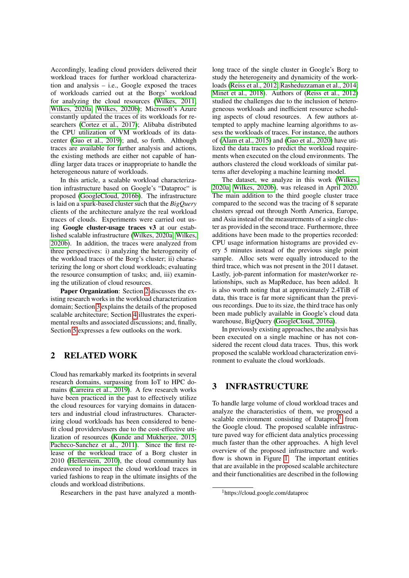Accordingly, leading cloud providers delivered their workload traces for further workload characterization and analysis – i.e., Google exposed the traces of workloads carried out at the Borgs' workload for analyzing the cloud resources [\(Wilkes, 2011;](#page-8-7) [Wilkes, 2020a;](#page-8-8) [Wilkes, 2020b\)](#page-8-9); Microsoft's Azure constantly updated the traces of its workloads for researchers [\(Cortez et al., 2017\)](#page-8-10); Alibaba distributed the CPU utilization of VM workloads of its datacenter [\(Guo et al., 2019\)](#page-8-11); and, so forth. Although traces are available for further analysis and actions, the existing methods are either not capable of handling larger data traces or inappropriate to handle the heterogeneous nature of workloads.

In this article, a scalable workload characterization infrastructure based on Google's "Dataproc" is proposed [\(GoogleCloud, 2016b\)](#page-8-12). The infrastructure is laid on a spark-based cluster such that the *BigQuery* clients of the architecture analyze the real workload traces of clouds. Experiments were carried out using Google cluster-usage traces v3 at our established scalable infrastructure [\(Wilkes, 2020a;](#page-8-8) [Wilkes,](#page-8-9) [2020b\)](#page-8-9). In addition, the traces were analyzed from three perspectives: i) analyzing the heterogeneity of the workload traces of the Borg's cluster; ii) characterizing the long or short cloud workloads; evaluating the resource consumption of tasks; and, iii) examining the utilization of cloud resources.

Paper Organization: Section [2](#page-1-0) discusses the existing research works in the workload characterization domain; Section [3](#page-1-1) explains the details of the proposed scalable architecture; Section [4](#page-2-0) illustrates the experimental results and associated discussions; and, finally, Section [5](#page-7-0) expresses a few outlooks on the work.

# <span id="page-1-0"></span>2 RELATED WORK

Cloud has remarkably marked its footprints in several research domains, surpassing from IoT to HPC domains [\(Carreira et al., 2019\)](#page-8-0). A few research works have been practiced in the past to effectively utilize the cloud resources for varying domains in datacenters and industrial cloud infrastructures. Characterizing cloud workloads has been considered to benefit cloud providers/users due to the cost-effective utilization of resources [\(Kunde and Mukherjee, 2015;](#page-8-13) [Pacheco-Sanchez et al., 2011\)](#page-8-14). Since the first release of the workload trace of a Borg cluster in 2010 [\(Hellerstein, 2010\)](#page-8-15), the cloud community has endeavored to inspect the cloud workload traces in varied fashions to reap in the ultimate insights of the clouds and workload distributions.

Researchers in the past have analyzed a month-

long trace of the single cluster in Google's Borg to study the heterogeneity and dynamicity of the workloads [\(Reiss et al., 2012;](#page-8-16) [Rasheduzzaman et al., 2014;](#page-8-17) [Minet et al., 2018\)](#page-8-18). Authors of [\(Reiss et al., 2012\)](#page-8-16) studied the challenges due to the inclusion of heterogeneous workloads and inefficient resource scheduling aspects of cloud resources. A few authors attempted to apply machine learning algorithms to assess the workloads of traces. For instance, the authors of [\(Alam et al., 2015\)](#page-8-2) and [\(Gao et al., 2020\)](#page-8-19) have utilized the data traces to predict the workload requirements when executed on the cloud environments. The authors clustered the cloud workloads of similar patterns after developing a machine learning model.

The dataset, we analyze in this work [\(Wilkes,](#page-8-8) [2020a;](#page-8-8) [Wilkes, 2020b\)](#page-8-9), was released in April 2020. The main addition to the third google cluster trace compared to the second was the tracing of 8 separate clusters spread out through North America, Europe, and Asia instead of the measurements of a single cluster as provided in the second trace. Furthermore, three additions have been made to the properties recorded: CPU usage information histograms are provided every 5 minutes instead of the previous single point sample. Alloc sets were equally introduced to the third trace, which was not present in the 2011 dataset. Lastly, job-parent information for master/worker relationships, such as MapReduce, has been added. It is also worth noting that at approximately 2.4TiB of data, this trace is far more significant than the previous recordings. Due to its size, the third trace has only been made publicly available in Google's cloud data warehouse, BigQuery [\(GoogleCloud, 2016a\)](#page-8-20).

In previously existing approaches, the analysis has been executed on a single machine or has not considered the recent cloud data traces. Thus, this work proposed the scalable workload characterization environment to evaluate the cloud workloads.

# <span id="page-1-1"></span>3 INFRASTRUCTURE

To handle large volume of cloud workload traces and analyze the characteristics of them, we proposed a scalable environment consisting of Dataproc<sup>[1](#page-1-2)</sup> from the Google cloud. The proposed scalable infrastructure paved way for efficient data analytics processing much faster than the other approaches. A high level overview of the proposed infrastructure and work-flow is shown in Figure [1.](#page-2-1) The important entities that are available in the proposed scalable architecture and their functionalities are described in the following

<span id="page-1-2"></span><sup>1</sup>https://cloud.google.com/dataproc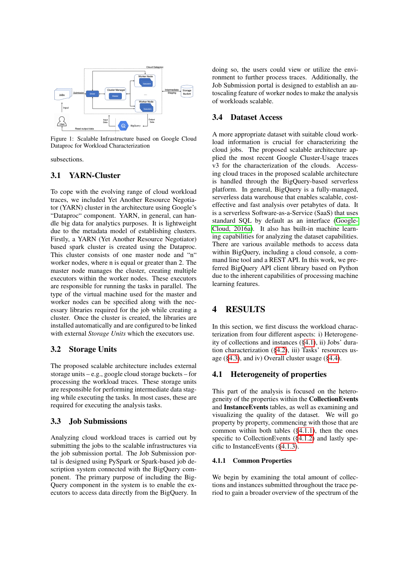<span id="page-2-1"></span>

Figure 1: Scalable Infrastructure based on Google Cloud Dataproc for Workload Characterization

subsections.

## 3.1 YARN-Cluster

To cope with the evolving range of cloud workload traces, we included Yet Another Resource Negotiator (YARN) cluster in the architecture using Google's "Dataproc" component. YARN, in general, can handle big data for analytics purposes. It is lightweight due to the metadata model of establishing clusters. Firstly, a YARN (Yet Another Resource Negotiator) based spark cluster is created using the Dataproc. This cluster consists of one master node and "n" worker nodes, where n is equal or greater than 2. The master node manages the cluster, creating multiple executors within the worker nodes. These executors are responsible for running the tasks in parallel. The type of the virtual machine used for the master and worker nodes can be specified along with the necessary libraries required for the job while creating a cluster. Once the cluster is created, the libraries are installed automatically and are configured to be linked with external *Storage Units* which the executors use.

## 3.2 Storage Units

The proposed scalable architecture includes external storage units – e.g., google cloud storage buckets – for processing the workload traces. These storage units are responsible for performing intermediate data staging while executing the tasks. In most cases, these are required for executing the analysis tasks.

## 3.3 Job Submissions

Analyzing cloud workload traces is carried out by submitting the jobs to the scalable infrastructures via the job submission portal. The Job Submission portal is designed using PySpark or Spark-based job description system connected with the BigQuery component. The primary purpose of including the Big-Query component in the system is to enable the executors to access data directly from the BigQuery. In doing so, the users could view or utilize the environment to further process traces. Additionally, the Job Submission portal is designed to establish an autoscaling feature of worker nodes to make the analysis of workloads scalable.

### 3.4 Dataset Access

A more appropriate dataset with suitable cloud workload information is crucial for characterizing the cloud jobs. The proposed scalable architecture applied the most recent Google Cluster-Usage traces v3 for the characterization of the clouds. Accessing cloud traces in the proposed scalable architecture is handled through the BigQuery-based serverless platform. In general, BigQuery is a fully-managed, serverless data warehouse that enables scalable, costeffective and fast analysis over petabytes of data. It is a serverless Software-as-a-Service (SaaS) that uses standard SQL by default as an interface [\(Google-](#page-8-20)[Cloud, 2016a\)](#page-8-20). It also has built-in machine learning capabilities for analyzing the dataset capabilities. There are various available methods to access data within BigQuery, including a cloud console, a command line tool and a REST API. In this work, we preferred BigQuery API client library based on Python due to the inherent capabilities of processing machine learning features.

## <span id="page-2-0"></span>4 RESULTS

In this section, we first discuss the workload characterization from four different aspects: i) Heterogeneity of collections and instances ([§4.1\)](#page-2-2), ii) Jobs' duration characterization ([§4.2\)](#page-4-0), iii) Tasks' resources usage ([§4.3\)](#page-5-0), and iv) Overall cluster usage ([§4.4\)](#page-6-0).

## <span id="page-2-2"></span>4.1 Heterogeneity of properties

This part of the analysis is focused on the heterogeneity of the properties within the CollectionEvents and InstanceEvents tables, as well as examining and visualizing the quality of the dataset. We will go property by property, commencing with those that are common within both tables ([§4.1.1\)](#page-2-3), then the ones specific to CollectionEvents ([§4.1.2\)](#page-3-0) and lastly specific to InstanceEvents ([§4.1.3\)](#page-4-1).

#### <span id="page-2-3"></span>4.1.1 Common Properties

We begin by examining the total amount of collections and instances submitted throughout the trace period to gain a broader overview of the spectrum of the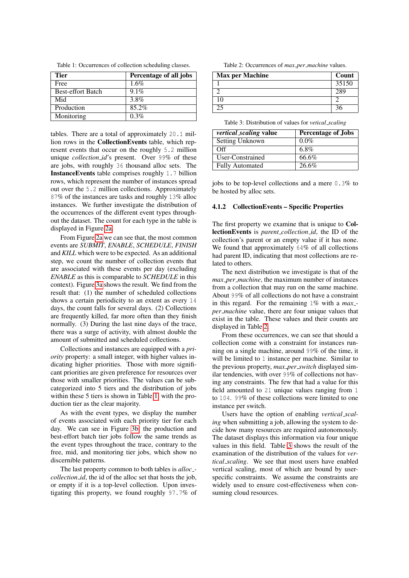<span id="page-3-1"></span>Table 1: Occurrences of collection scheduling classes.

| <b>Tier</b>              | Percentage of all jobs |
|--------------------------|------------------------|
| Free                     | 1.6%                   |
| <b>Best-effort Batch</b> | 9.1%                   |
| Mid                      | 3.8%                   |
| Production               | 85.2%                  |
| Monitoring               | $0.3\%$                |

tables. There are a total of approximately 20.1 million rows in the CollectionEvents table, which represent events that occur on the roughly 5.2 million unique *collection\_id*'s present. Over 99% of these are jobs, with roughly 36 thousand alloc sets. The InstanceEvents table comprises roughly 1.7 billion rows, which represent the number of instances spread out over the 5.2 million collections. Approximately 87% of the instances are tasks and roughly 13% alloc instances. We further investigate the distribution of the occurrences of the different event types throughout the dataset. The count for each type in the table is displayed in Figure [2a.](#page-4-2)

From Figure [2a](#page-4-2) we can see that, the most common events are *SUBMIT*, *ENABLE*, *SCHEDULE*, *FINISH* and *KILL* which were to be expected. As an additional step, we count the number of collection events that are associated with these events per day (excluding *ENABLE* as this is comparable to *SCHEDULE* in this context). Figure [3a](#page-4-3) shows the result. We find from the result that: (1) the number of scheduled collections shows a certain periodicity to an extent as every 14 days, the count falls for several days. (2) Collections are frequently killed, far more often than they finish normally. (3) During the last nine days of the trace, there was a surge of activity, with almost double the amount of submitted and scheduled collections.

Collections and instances are equipped with a *priority* property: a small integer, with higher values indicating higher priorities. Those with more significant priorities are given preference for resources over those with smaller priorities. The values can be subcategorized into 5 tiers and the distribution of jobs within these 5 tiers is shown in Table [1,](#page-3-1) with the production tier as the clear majority.

As with the event types, we display the number of events associated with each priority tier for each day. We can see in Figure [3b,](#page-4-3) the production and best-effort batch tier jobs follow the same trends as the event types throughout the trace, contrary to the free, mid, and monitoring tier jobs, which show no discernible patterns.

The last property common to both tables is *alloc collection id*, the id of the alloc set that hosts the job, or empty if it is a top-level collection. Upon investigating this property, we found roughly 97.7% of

Table 2: Occurrences of  $max\_per\_machine$  values.

<span id="page-3-2"></span>

| <b>Max per Machine</b> | Count |
|------------------------|-------|
|                        | 35150 |
|                        | 289   |
| 10                     |       |
|                        |       |

Table 3: Distribution of values for *vetical scaling*

<span id="page-3-3"></span>

| <i>vertical_scaling value</i> | <b>Percentage of Jobs</b> |
|-------------------------------|---------------------------|
| Setting Unknown               | $0.0\%$                   |
| Off                           | 6.8%                      |
| User-Constrained              | 66.6%                     |
| <b>Fully Automated</b>        | 26.6%                     |

jobs to be top-level collections and a mere 0.3% to be hosted by alloc sets.

#### <span id="page-3-0"></span>4.1.2 CollectionEvents – Specific Properties

The first property we examine that is unique to CollectionEvents is *parent collection id*, the ID of the collection's parent or an empty value if it has none. We found that approximately 64% of all collections had parent ID, indicating that most collections are related to others.

The next distribution we investigate is that of the *max per machine*, the maximum number of instances from a collection that may run on the same machine. About 99% of all collections do not have a constraint in this regard. For the remaining 1% with a *max per machine* value, there are four unique values that exist in the table. These values and their counts are displayed in Table [2.](#page-3-2)

From these occurrences, we can see that should a collection come with a constraint for instances running on a single machine, around 99% of the time, it will be limited to 1 instance per machine. Similar to the previous property, *max per switch* displayed similar tendencies, with over 99% of collections not having any constraints. The few that had a value for this field amounted to 21 unique values ranging from 1 to 104. 99% of these collections were limited to one instance per switch.

Users have the option of enabling *vertical scaling* when submitting a job, allowing the system to decide how many resources are required autonomously. The dataset displays this information via four unique values in this field. Table [3](#page-3-3) shows the result of the examination of the distribution of the values for *vertical scaling*. We see that most users have enabled vertical scaling, most of which are bound by userspecific constraints. We assume the constraints are widely used to ensure cost-effectiveness when consuming cloud resources.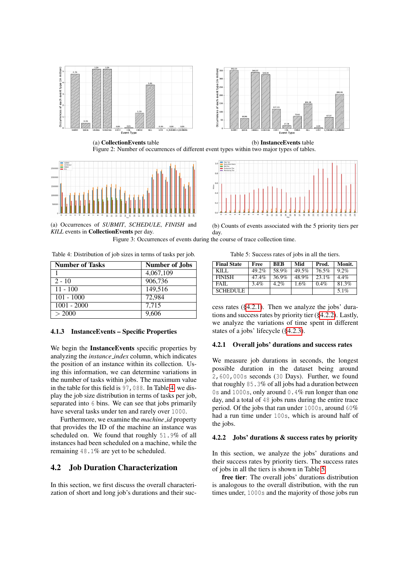<span id="page-4-2"></span>



(a) CollectionEvents table (b) InstanceEvents table Figure 2: Number of occurrences of different event types within two major types of tables.

<span id="page-4-3"></span>

(a) Occurrences of *SUBMIT*, *SCHEDULE*, *FINISH* and *KILL* events in CollectionEvents per day.



(b) Counts of events associated with the 5 priority tiers per day.

Figure 3: Occurrences of events during the course of trace collection time.

<span id="page-4-4"></span>Table 4: Distribution of job sizes in terms of tasks per job.

| <b>Number of Tasks</b> | <b>Number of Jobs</b> |  |  |
|------------------------|-----------------------|--|--|
|                        | 4,067,109             |  |  |
| $2 - 10$               | 906,736               |  |  |
| $11 - 100$             | 149,516               |  |  |
| $101 - 1000$           | 72,984                |  |  |
| $1001 - 2000$          | 7.715                 |  |  |
| > 2000                 | 9,606                 |  |  |

#### <span id="page-4-1"></span>4.1.3 InstanceEvents – Specific Properties

We begin the **InstanceEvents** specific properties by analyzing the *instance index* column, which indicates the position of an instance within its collection. Using this information, we can determine variations in the number of tasks within jobs. The maximum value in the table for this field is 97,088. In Table [4,](#page-4-4) we display the job size distribution in terms of tasks per job, separated into 6 bins. We can see that jobs primarily have several tasks under ten and rarely over 1000.

Furthermore, we examine the *machine id* property that provides the ID of the machine an instance was scheduled on. We found that roughly 51.9% of all instances had been scheduled on a machine, while the remaining 48.1% are yet to be scheduled.

### <span id="page-4-0"></span>4.2 Job Duration Characterization

In this section, we first discuss the overall characterization of short and long job's durations and their suc-

Table 5: Success rates of jobs in all the tiers.

<span id="page-4-7"></span>

| <b>Final State</b> | Free    | <b>BEB</b> | Mid   | Prod. | Monit.  |
|--------------------|---------|------------|-------|-------|---------|
| KILL.              | 49.2%   | 58.9%      | 49.5% | 76.5% | $9.2\%$ |
| <b>FINISH</b>      | 47.4%   | 36.9%      | 48.9% | 23.1% | $4.4\%$ |
| FAIL.              | $3.4\%$ | 4.2%       | 1.6%  | 0.4%  | 81.3%   |
| <b>SCHEDULE</b>    |         |            |       |       | $5.1\%$ |

cess rates ([§4.2.1\)](#page-4-5). Then we analyze the jobs' durations and success rates by priority tier ([§4.2.2\)](#page-4-6). Lastly, we analyze the variations of time spent in different states of a jobs' lifecycle ([§4.2.3\)](#page-5-1).

#### <span id="page-4-5"></span>4.2.1 Overall jobs' durations and success rates

We measure job durations in seconds, the longest possible duration in the dataset being around 2,600,000s seconds (30 Days). Further, we found that roughly 85.3% of all jobs had a duration between 0s and 1000s, only around 0.4% run longer than one day, and a total of 48 jobs runs during the entire trace period. Of the jobs that ran under 1000s, around 60% had a run time under 100s, which is around half of the jobs.

#### <span id="page-4-6"></span>4.2.2 Jobs' durations & success rates by priority

In this section, we analyze the jobs' durations and their success rates by priority tiers. The success rates of jobs in all the tiers is shown in Table [5.](#page-4-7)

free tier: The overall jobs' durations distribution is analogous to the overall distribution, with the run times under, 1000s and the majority of those jobs run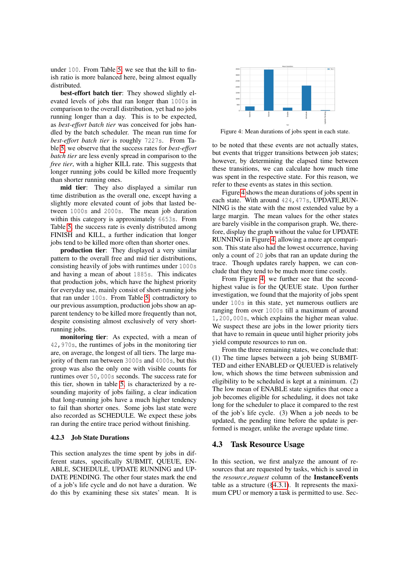under 100. From Table [5,](#page-4-7) we see that the kill to finish ratio is more balanced here, being almost equally distributed.

best-effort batch tier: They showed slightly elevated levels of jobs that ran longer than 1000s in comparison to the overall distribution, yet had no jobs running longer than a day. This is to be expected, as *best-effort batch tier* was conceived for jobs handled by the batch scheduler. The mean run time for *best-effort batch tier* is roughly 7227s. From Table [5,](#page-4-7) we observe that the success rates for *best-effort batch tier* are less evenly spread in comparison to the *free tier*, with a higher KILL rate. This suggests that longer running jobs could be killed more frequently than shorter running ones.

mid tier: They also displayed a similar run time distribution as the overall one, except having a slightly more elevated count of jobs that lasted between 1000s and 2000s. The mean job duration within this category is approximately 6653s. From Table [5,](#page-4-7) the success rate is evenly distributed among FINISH and KILL, a further indication that longer jobs tend to be killed more often than shorter ones.

production tier: They displayed a very similar pattern to the overall free and mid tier distributions, consisting heavily of jobs with runtimes under 1000s and having a mean of about 1885s. This indicates that production jobs, which have the highest priority for everyday use, mainly consist of short-running jobs that ran under 100s. From Table [5,](#page-4-7) contradictory to our previous assumption, production jobs show an apparent tendency to be killed more frequently than not, despite consisting almost exclusively of very shortrunning jobs.

monitoring tier: As expected, with a mean of 42,970s, the runtimes of jobs in the monitoring tier are, on average, the longest of all tiers. The large majority of them ran between 3000s and 4000s, but this group was also the only one with visible counts for runtimes over 50,000s seconds. The success rate for this tier, shown in table [5,](#page-4-7) is characterized by a resounding majority of jobs failing, a clear indication that long-running jobs have a much higher tendency to fail than shorter ones. Some jobs last state were also recorded as SCHEDULE. We expect these jobs ran during the entire trace period without finishing.

#### <span id="page-5-1"></span>4.2.3 Job State Durations

This section analyzes the time spent by jobs in different states, specifically SUBMIT, QUEUE, EN-ABLE, SCHEDULE, UPDATE RUNNING and UP-DATE PENDING. The other four states mark the end of a job's life cycle and do not have a duration. We do this by examining these six states' mean. It is

<span id="page-5-2"></span>

Figure 4: Mean durations of jobs spent in each state.

to be noted that these events are not actually states, but events that trigger transitions between job states; however, by determining the elapsed time between these transitions, we can calculate how much time was spent in the respective state. For this reason, we refer to these events as states in this section.

Figure [4](#page-5-2) shows the mean durations of jobs spent in each state. With around 424,477s, UPDATE RUN-NING is the state with the most extended value by a large margin. The mean values for the other states are barely visible in the comparison graph. We, therefore, display the graph without the value for UPDATE RUNNING in Figure [4,](#page-5-2) allowing a more apt comparison. This state also had the lowest occurrence, having only a count of 20 jobs that ran an update during the trace. Though updates rarely happen, we can conclude that they tend to be much more time costly.

From Figure [4,](#page-5-2) we further see that the secondhighest value is for the QUEUE state. Upon further investigation, we found that the majority of jobs spent under 100s in this state, yet numerous outliers are ranging from over 1000s till a maximum of around 1,200,000s, which explains the higher mean value. We suspect these are jobs in the lower priority tiers that have to remain in queue until higher priority jobs yield compute resources to run on.

From the three remaining states, we conclude that: (1) The time lapses between a job being SUBMIT-TED and either ENABLED or QUEUED is relatively low, which shows the time between submission and eligibility to be scheduled is kept at a minimum. (2) The low mean of ENABLE state signifies that once a job becomes eligible for scheduling, it does not take long for the scheduler to place it compared to the rest of the job's life cycle. (3) When a job needs to be updated, the pending time before the update is performed is meager, unlike the average update time.

### <span id="page-5-0"></span>4.3 Task Resource Usage

In this section, we first analyze the amount of resources that are requested by tasks, which is saved in the *resource request* column of the InstanceEvents table as a structure ([§4.3.1\)](#page-6-1). It represents the maximum CPU or memory a task is permitted to use. Sec-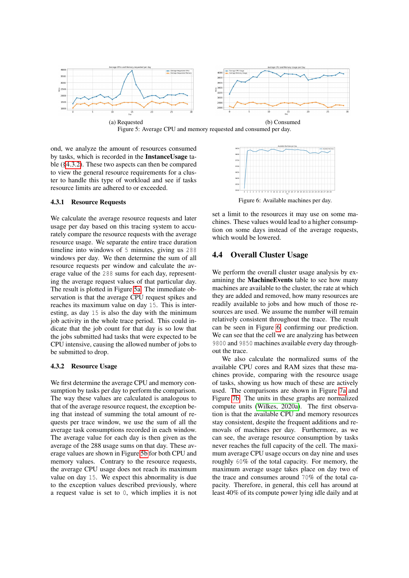<span id="page-6-3"></span>



ond, we analyze the amount of resources consumed by tasks, which is recorded in the InstanceUsage table ([§4.3.2\)](#page-6-2). These two aspects can then be compared to view the general resource requirements for a cluster to handle this type of workload and see if tasks resource limits are adhered to or exceeded.

#### <span id="page-6-1"></span>4.3.1 Resource Requests

We calculate the average resource requests and later usage per day based on this tracing system to accurately compare the resource requests with the average resource usage. We separate the entire trace duration timeline into windows of 5 minutes, giving us 288 windows per day. We then determine the sum of all resource requests per window and calculate the average value of the 288 sums for each day, representing the average request values of that particular day. The result is plotted in Figure [5a.](#page-6-3) The immediate observation is that the average CPU request spikes and reaches its maximum value on day 15. This is interesting, as day 15 is also the day with the minimum job activity in the whole trace period. This could indicate that the job count for that day is so low that the jobs submitted had tasks that were expected to be CPU intensive, causing the allowed number of jobs to be submitted to drop.

#### <span id="page-6-2"></span>4.3.2 Resource Usage

We first determine the average CPU and memory consumption by tasks per day to perform the comparison. The way these values are calculated is analogous to that of the average resource request, the exception being that instead of summing the total amount of requests per trace window, we use the sum of all the average task consumptions recorded in each window. The average value for each day is then given as the average of the 288 usage sums on that day. These average values are shown in Figure [5b](#page-6-3) for both CPU and memory values. Contrary to the resource requests, the average CPU usage does not reach its maximum value on day 15. We expect this abnormality is due to the exception values described previously, where a request value is set to 0, which implies it is not

<span id="page-6-4"></span>

set a limit to the resources it may use on some machines. These values would lead to a higher consumption on some days instead of the average requests, which would be lowered.

## <span id="page-6-0"></span>4.4 Overall Cluster Usage

We perform the overall cluster usage analysis by examining the MachineEvents table to see how many machines are available to the cluster, the rate at which they are added and removed, how many resources are readily available to jobs and how much of those resources are used. We assume the number will remain relatively consistent throughout the trace. The result can be seen in Figure [6,](#page-6-4) confirming our prediction. We can see that the cell we are analyzing has between 9800 and 9850 machines available every day throughout the trace.

We also calculate the normalized sums of the available CPU cores and RAM sizes that these machines provide, comparing with the resource usage of tasks, showing us how much of these are actively used. The comparisons are shown in Figure [7a](#page-7-1) and Figure [7b.](#page-7-1) The units in these graphs are normalized compute units [\(Wilkes, 2020a\)](#page-8-8). The first observation is that the available CPU and memory resources stay consistent, despite the frequent additions and removals of machines per day. Furthermore, as we can see, the average resource consumption by tasks never reaches the full capacity of the cell. The maximum average CPU usage occurs on day nine and uses roughly 60% of the total capacity. For memory, the maximum average usage takes place on day two of the trace and consumes around 70% of the total capacity. Therefore, in general, this cell has around at least 40% of its compute power lying idle daily and at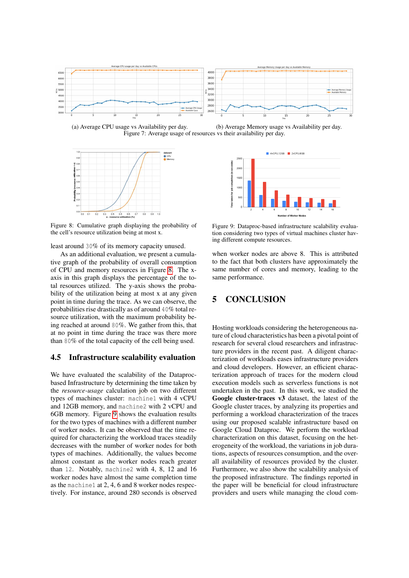<span id="page-7-1"></span>

(a) Average CPU usage vs Availability per day. (b) Average Memory usage vs Availability per day. Figure 7: Average usage of resources vs their availability per day.

<span id="page-7-2"></span>

Figure 8: Cumulative graph displaying the probability of the cell's resource utilization being at most x.

least around 30% of its memory capacity unused.

As an additional evaluation, we present a cumulative graph of the probability of overall consumption of CPU and memory resources in Figure [8.](#page-7-2) The xaxis in this graph displays the percentage of the total resources utilized. The y-axis shows the probability of the utilization being at most x at any given point in time during the trace. As we can observe, the probabilities rise drastically as of around 40% total resource utilization, with the maximum probability being reached at around 80%. We gather from this, that at no point in time during the trace was there more than 80% of the total capacity of the cell being used.

## 4.5 Infrastructure scalability evaluation

We have evaluated the scalability of the Dataprocbased Infrastructure by determining the time taken by the *resource-usage* calculation job on two different types of machines cluster: machine1 with 4 vCPU and 12GB memory, and machine2 with 2 vCPU and 6GB memory. Figure [9](#page-7-3) shows the evaluation results for the two types of machines with a different number of worker nodes. It can be observed that the time required for characterizing the workload traces steadily decreases with the number of worker nodes for both types of machines. Additionally, the values become almost constant as the worker nodes reach greater than 12. Notably, machine2 with 4, 8, 12 and 16 worker nodes have almost the same completion time as the machine1 at 2, 4, 6 and 8 worker nodes respectively. For instance, around 280 seconds is observed

<span id="page-7-3"></span>

Figure 9: Dataproc-based infrastructure scalability evaluation considering two types of virtual machines cluster having different compute resources.

when worker nodes are above 8. This is attributed to the fact that both clusters have approximately the same number of cores and memory, leading to the same performance.

# <span id="page-7-0"></span>5 CONCLUSION

Hosting workloads considering the heterogeneous nature of cloud characteristics has been a pivotal point of research for several cloud researchers and infrastructure providers in the recent past. A diligent characterization of workloads eases infrastructure providers and cloud developers. However, an efficient characterization approach of traces for the modern cloud execution models such as serverless functions is not undertaken in the past. In this work, we studied the Google cluster-traces v3 dataset, the latest of the Google cluster traces, by analyzing its properties and performing a workload characterization of the traces using our proposed scalable infrastructure based on Google Cloud Dataproc. We perform the workload characterization on this dataset, focusing on the heterogeneity of the workload, the variations in job durations, aspects of resources consumption, and the overall availability of resources provided by the cluster. Furthermore, we also show the scalability analysis of the proposed infrastructure. The findings reported in the paper will be beneficial for cloud infrastructure providers and users while managing the cloud com